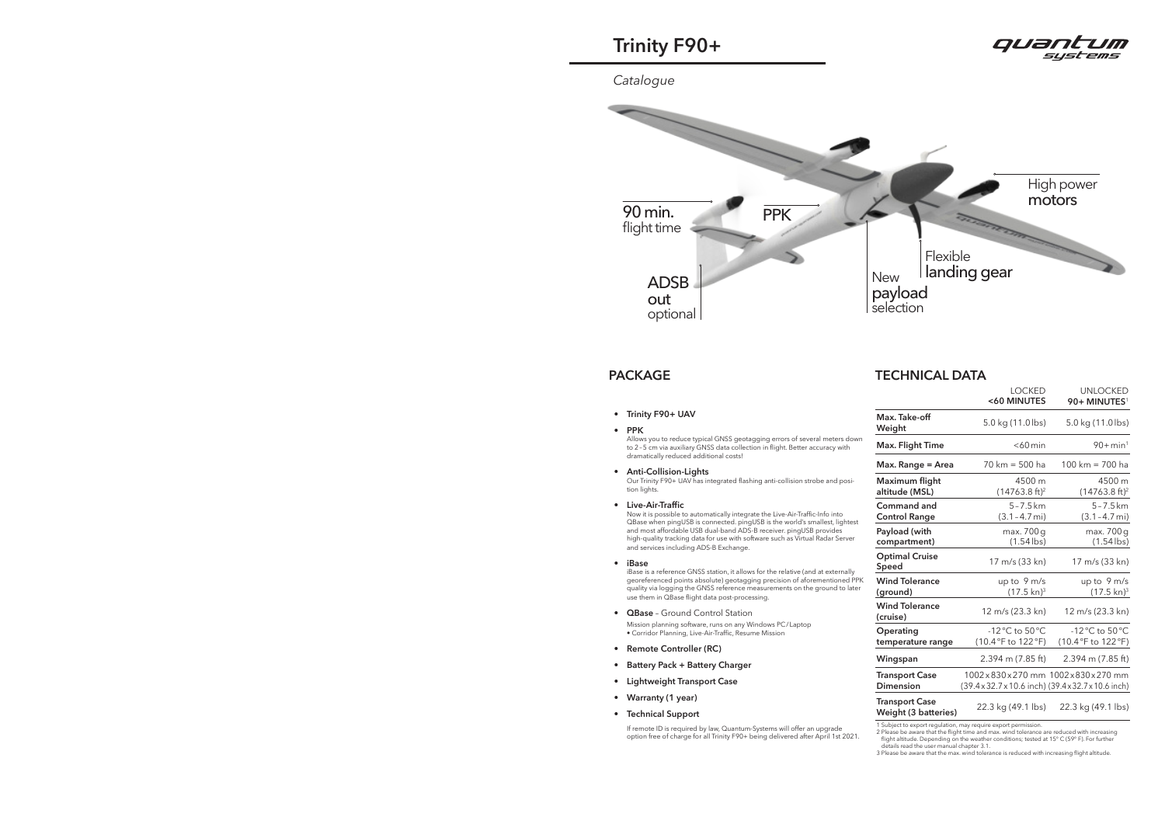• **Trinity F90+ UAV** 

#### • **PPK**

Allows you to reduce typical GNSS geotagging errors of several meters down to 2 – 5 cm via auxiliary GNSS data collection in flight. Better accuracy with dramatically reduced additional costs!

• **Anti-Collision-Lights**

Our Trinity F90+ UAV has integrated flashing anti-collision strobe and position lights.

• **Live-Air-Traffic** 

Now it is possible to automatically integrate the Live-Air-Traffic-Info into QBase when pingUSB is connected. pingUSB is the world's smallest, lightest and most affordable USB dual-band ADS-B receiver. pingUSB provides high-quality tracking data for use with software such as Virtual Radar Server and services including ADS-B Exchange.

#### • **iBase**

iBase is a reference GNSS station, it allows for the relative (and at externally georeferenced points absolute) geotagging precision of aforementioned PPK quality via logging the GNSS reference measurements on the ground to later use them in QBase flight data post-processing.

- **QBase** Ground Control Station Mission planning software, runs on any Windows PC / Laptop • Corridor Planning, Live-Air-Traffic, Resume Mission
- **Remote Controller (RC)**
- **Battery Pack + Battery Charger**
- **Lightweight Transport Case**
- **Warranty (1 year)**
- **Technical Support**

 If remote ID is required by law, Quantum-Systems will offer an upgrade option free of charge for all Trinity F90+ being delivered after April 1st 2021.



## **PACKAGE TECHNICAL DATA**

|                                               | <b>LOCKED</b><br><60 MINUTES                                                           | <b>UNLOCKED</b><br>90+ MINUTES <sup>1</sup>           |
|-----------------------------------------------|----------------------------------------------------------------------------------------|-------------------------------------------------------|
| Max. Take-off<br>Weight                       | 5.0 kg (11.0 lbs)                                                                      | 5.0 kg (11.0 lbs)                                     |
| Max. Flight Time                              | $<$ 60 $min$                                                                           | $90 + min^{1}$                                        |
| Max. Range = Area                             | 70 km = 500 ha                                                                         | 100 km = 700 ha                                       |
| Maximum flight<br>altitude (MSL)              | 4500 m<br>$(14763.8 ft)^2$                                                             | 4500 m<br>$(14763.8 ft)^2$                            |
| Command and<br><b>Control Range</b>           | $5 - 7.5$ km<br>$(3.1 - 4.7 \text{ mi})$                                               | $5 - 7.5$ km<br>$(3.1 - 4.7 \text{ mi})$              |
| Payload (with<br>compartment)                 | max. 700 g<br>$(1.54$ lbs)                                                             | max. 700 g<br>$(1.54$ lbs)                            |
| <b>Optimal Cruise</b><br>Speed                | 17 m/s (33 kn)                                                                         | 17 m/s (33 kn)                                        |
| <b>Wind Tolerance</b><br>(ground)             | up to 9 m/s<br>$(17.5 \text{ km})^3$                                                   | up to $9 \text{ m/s}$<br>$(17.5 \text{ kn})^3$        |
| <b>Wind Tolerance</b><br>(cruise)             | 12 m/s (23.3 kn)                                                                       | 12 m/s (23.3 kn)                                      |
| Operating<br>temperature range                | $-12^{\circ}$ C to 50 $^{\circ}$ C<br>(10.4°F to 122°F)                                | $-12\degree$ C to 50 $\degree$ C<br>(10.4°F to 122°F) |
| Wingspan                                      | $2.394$ m (7.85 ft)                                                                    | $2.394$ m (7.85 ft)                                   |
| <b>Transport Case</b><br><b>Dimension</b>     | 1002x830x270 mm 1002x830x270 mm<br>(39.4 x 32.7 x 10.6 inch) (39.4 x 32.7 x 10.6 inch) |                                                       |
| <b>Transport Case</b><br>Weight (3 batteries) | 22.3 kg (49.1 lbs)                                                                     | 22.3 kg (49.1 lbs)                                    |

1 Subject to export regulation, may require export permission.

2 Please be aware that the flight time and max. wind tolerance are reduced with increasing<br>flight altitude. Depending on the weather conditions; tested at 15° C (59° F). For further<br>details read the user manual chapter 3.



# **Trinity F90+**

*Catalogue*